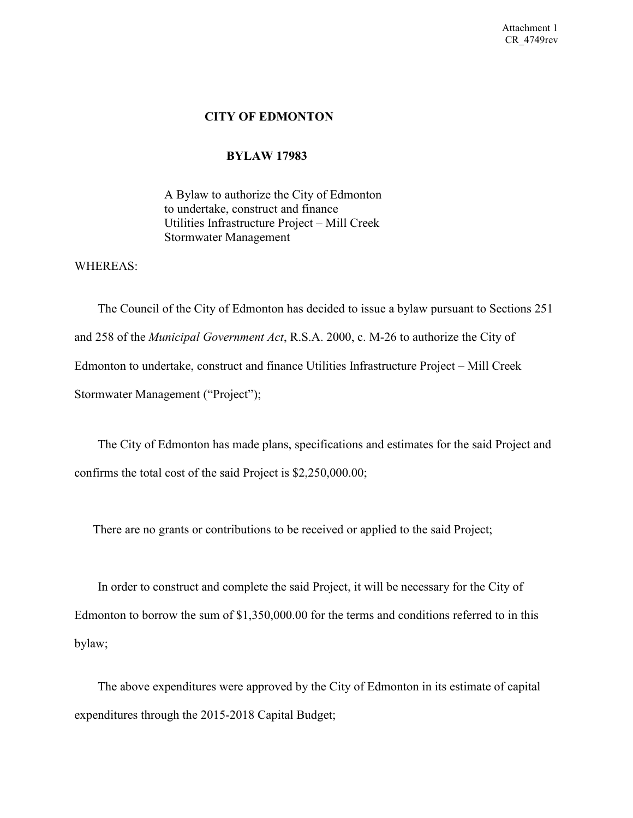#### **CITY OF EDMONTON**

#### **BYLAW 17983**

A Bylaw to authorize the City of Edmonton to undertake, construct and finance Utilities Infrastructure Project – Mill Creek Stormwater Management

WHEREAS:

 The Council of the City of Edmonton has decided to issue a bylaw pursuant to Sections 251 and 258 of the *Municipal Government Act*, R.S.A. 2000, c. M-26 to authorize the City of Edmonton to undertake, construct and finance Utilities Infrastructure Project – Mill Creek Stormwater Management ("Project");

 The City of Edmonton has made plans, specifications and estimates for the said Project and confirms the total cost of the said Project is \$2,250,000.00;

There are no grants or contributions to be received or applied to the said Project;

 In order to construct and complete the said Project, it will be necessary for the City of Edmonton to borrow the sum of \$1,350,000.00 for the terms and conditions referred to in this bylaw;

 The above expenditures were approved by the City of Edmonton in its estimate of capital expenditures through the 2015-2018 Capital Budget;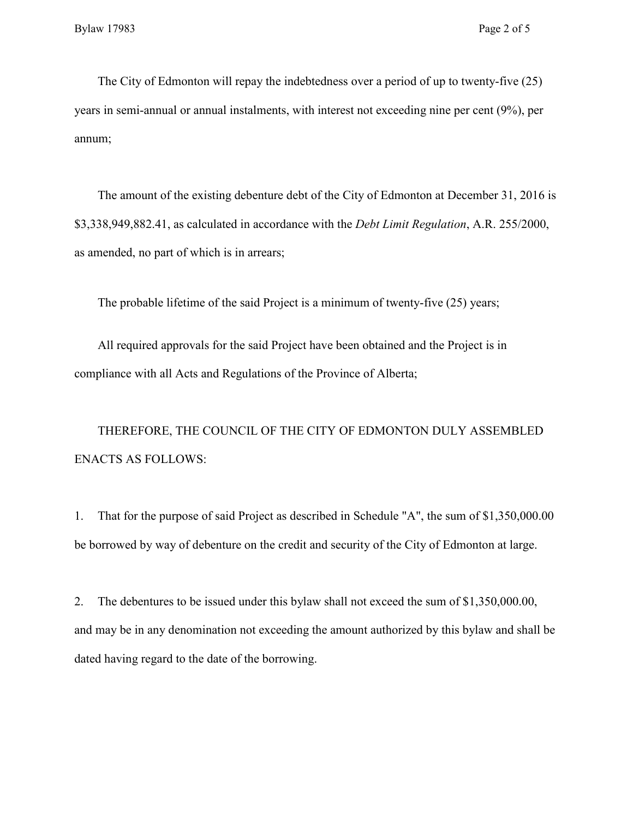The City of Edmonton will repay the indebtedness over a period of up to twenty-five (25) years in semi-annual or annual instalments, with interest not exceeding nine per cent (9%), per annum;

 The amount of the existing debenture debt of the City of Edmonton at December 31, 2016 is \$3,338,949,882.41, as calculated in accordance with the *Debt Limit Regulation*, A.R. 255/2000, as amended, no part of which is in arrears;

The probable lifetime of the said Project is a minimum of twenty-five (25) years;

 All required approvals for the said Project have been obtained and the Project is in compliance with all Acts and Regulations of the Province of Alberta;

 THEREFORE, THE COUNCIL OF THE CITY OF EDMONTON DULY ASSEMBLED ENACTS AS FOLLOWS:

1. That for the purpose of said Project as described in Schedule "A", the sum of \$1,350,000.00 be borrowed by way of debenture on the credit and security of the City of Edmonton at large.

2. The debentures to be issued under this bylaw shall not exceed the sum of \$1,350,000.00, and may be in any denomination not exceeding the amount authorized by this bylaw and shall be dated having regard to the date of the borrowing.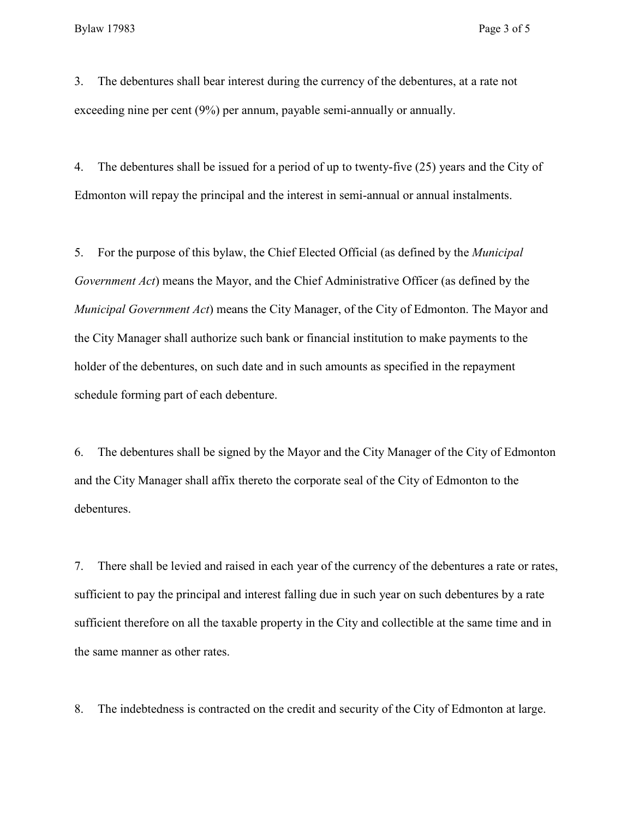3. The debentures shall bear interest during the currency of the debentures, at a rate not exceeding nine per cent (9%) per annum, payable semi-annually or annually.

4. The debentures shall be issued for a period of up to twenty-five (25) years and the City of Edmonton will repay the principal and the interest in semi-annual or annual instalments.

5. For the purpose of this bylaw, the Chief Elected Official (as defined by the *Municipal Government Act*) means the Mayor, and the Chief Administrative Officer (as defined by the *Municipal Government Act*) means the City Manager, of the City of Edmonton. The Mayor and the City Manager shall authorize such bank or financial institution to make payments to the holder of the debentures, on such date and in such amounts as specified in the repayment schedule forming part of each debenture.

6. The debentures shall be signed by the Mayor and the City Manager of the City of Edmonton and the City Manager shall affix thereto the corporate seal of the City of Edmonton to the debentures.

7. There shall be levied and raised in each year of the currency of the debentures a rate or rates, sufficient to pay the principal and interest falling due in such year on such debentures by a rate sufficient therefore on all the taxable property in the City and collectible at the same time and in the same manner as other rates.

8. The indebtedness is contracted on the credit and security of the City of Edmonton at large.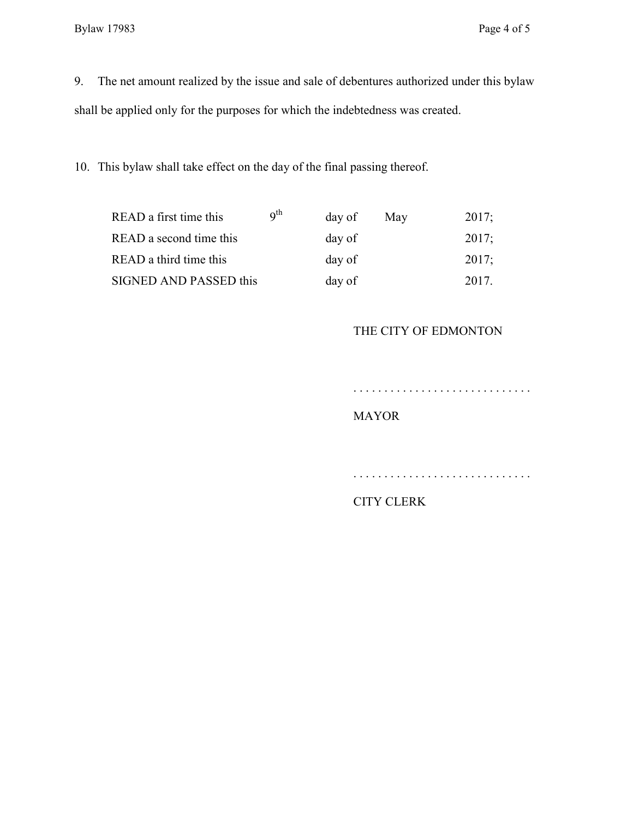9. The net amount realized by the issue and sale of debentures authorized under this bylaw shall be applied only for the purposes for which the indebtedness was created.

10. This bylaw shall take effect on the day of the final passing thereof.

| READ a first time this  | $q^{th}$ | day of | May | 2017; |
|-------------------------|----------|--------|-----|-------|
| READ a second time this |          | day of |     | 2017; |
| READ a third time this  |          | day of |     | 2017; |
| SIGNED AND PASSED this  |          | day of |     | 2017  |

## THE CITY OF EDMONTON

. . . . . . . . . . . . . . . . . . . . . . . . . . . . .

## MAYOR

. . . . . . . . . . . . . . . . . . . . . . . . . . . . .

# CITY CLERK